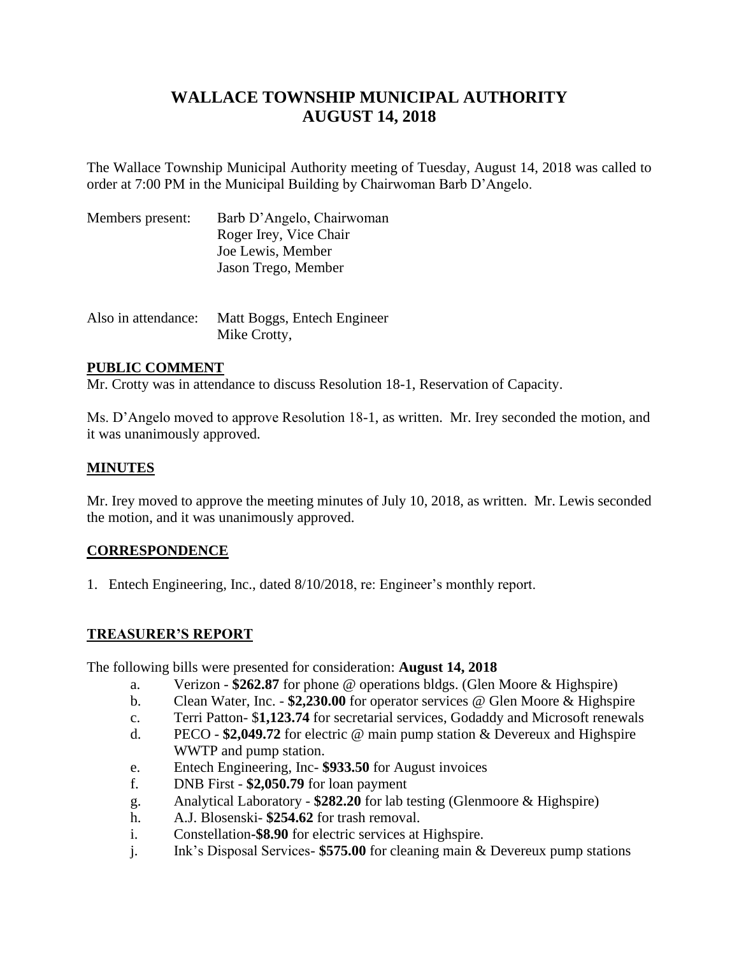# **WALLACE TOWNSHIP MUNICIPAL AUTHORITY AUGUST 14, 2018**

The Wallace Township Municipal Authority meeting of Tuesday, August 14, 2018 was called to order at 7:00 PM in the Municipal Building by Chairwoman Barb D'Angelo.

| Members present: | Barb D'Angelo, Chairwoman |
|------------------|---------------------------|
|                  | Roger Irey, Vice Chair    |
|                  | Joe Lewis, Member         |
|                  | Jason Trego, Member       |
|                  |                           |

| Also in attendance: | Matt Boggs, Entech Engineer |
|---------------------|-----------------------------|
|                     | Mike Crotty,                |

## **PUBLIC COMMENT**

Mr. Crotty was in attendance to discuss Resolution 18-1, Reservation of Capacity.

Ms. D'Angelo moved to approve Resolution 18-1, as written. Mr. Irey seconded the motion, and it was unanimously approved.

## **MINUTES**

Mr. Irey moved to approve the meeting minutes of July 10, 2018, as written. Mr. Lewis seconded the motion, and it was unanimously approved.

## **CORRESPONDENCE**

1. Entech Engineering, Inc., dated 8/10/2018, re: Engineer's monthly report.

## **TREASURER'S REPORT**

The following bills were presented for consideration: **August 14, 2018**

- a. Verizon **\$262.87** for phone @ operations bldgs. (Glen Moore & Highspire)
- b. Clean Water, Inc. **\$2,230.00** for operator services @ Glen Moore & Highspire
- c. Terri Patton- \$**1,123.74** for secretarial services, Godaddy and Microsoft renewals
- d. PECO **\$2,049.72** for electric @ main pump station & Devereux and Highspire WWTP and pump station.
- e. Entech Engineering, Inc- **\$933.50** for August invoices
- f. DNB First **\$2,050.79** for loan payment
- g. Analytical Laboratory **\$282.20** for lab testing (Glenmoore & Highspire)
- h. A.J. Blosenski- **\$254.62** for trash removal.
- i. Constellation**-\$8.90** for electric services at Highspire.
- j. Ink's Disposal Services- **\$575.00** for cleaning main & Devereux pump stations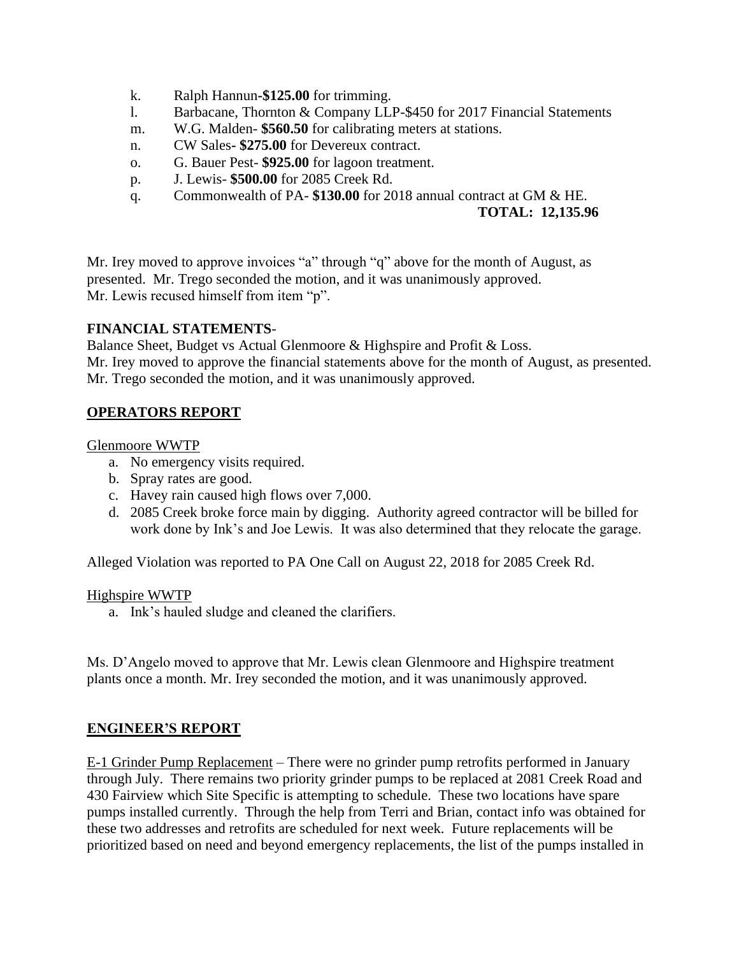- k. Ralph Hannun**-\$125.00** for trimming.
- l. Barbacane, Thornton & Company LLP-\$450 for 2017 Financial Statements
- m. W.G. Malden- **\$560.50** for calibrating meters at stations.
- n. CW Sales**- \$275.00** for Devereux contract.
- o. G. Bauer Pest- **\$925.00** for lagoon treatment.
- p. J. Lewis- **\$500.00** for 2085 Creek Rd.
- q. Commonwealth of PA- **\$130.00** for 2018 annual contract at GM & HE.

#### **TOTAL: 12,135.96**

Mr. Irey moved to approve invoices "a" through "q" above for the month of August, as presented. Mr. Trego seconded the motion, and it was unanimously approved. Mr. Lewis recused himself from item "p".

### **FINANCIAL STATEMENTS**-

Balance Sheet, Budget vs Actual Glenmoore & Highspire and Profit & Loss.

Mr. Irey moved to approve the financial statements above for the month of August, as presented. Mr. Trego seconded the motion, and it was unanimously approved.

### **OPERATORS REPORT**

#### Glenmoore WWTP

- a. No emergency visits required.
- b. Spray rates are good.
- c. Havey rain caused high flows over 7,000.
- d. 2085 Creek broke force main by digging. Authority agreed contractor will be billed for work done by Ink's and Joe Lewis. It was also determined that they relocate the garage.

Alleged Violation was reported to PA One Call on August 22, 2018 for 2085 Creek Rd.

#### Highspire WWTP

a. Ink's hauled sludge and cleaned the clarifiers.

Ms. D'Angelo moved to approve that Mr. Lewis clean Glenmoore and Highspire treatment plants once a month. Mr. Irey seconded the motion, and it was unanimously approved.

#### **ENGINEER'S REPORT**

E-1 Grinder Pump Replacement – There were no grinder pump retrofits performed in January through July. There remains two priority grinder pumps to be replaced at 2081 Creek Road and 430 Fairview which Site Specific is attempting to schedule. These two locations have spare pumps installed currently. Through the help from Terri and Brian, contact info was obtained for these two addresses and retrofits are scheduled for next week. Future replacements will be prioritized based on need and beyond emergency replacements, the list of the pumps installed in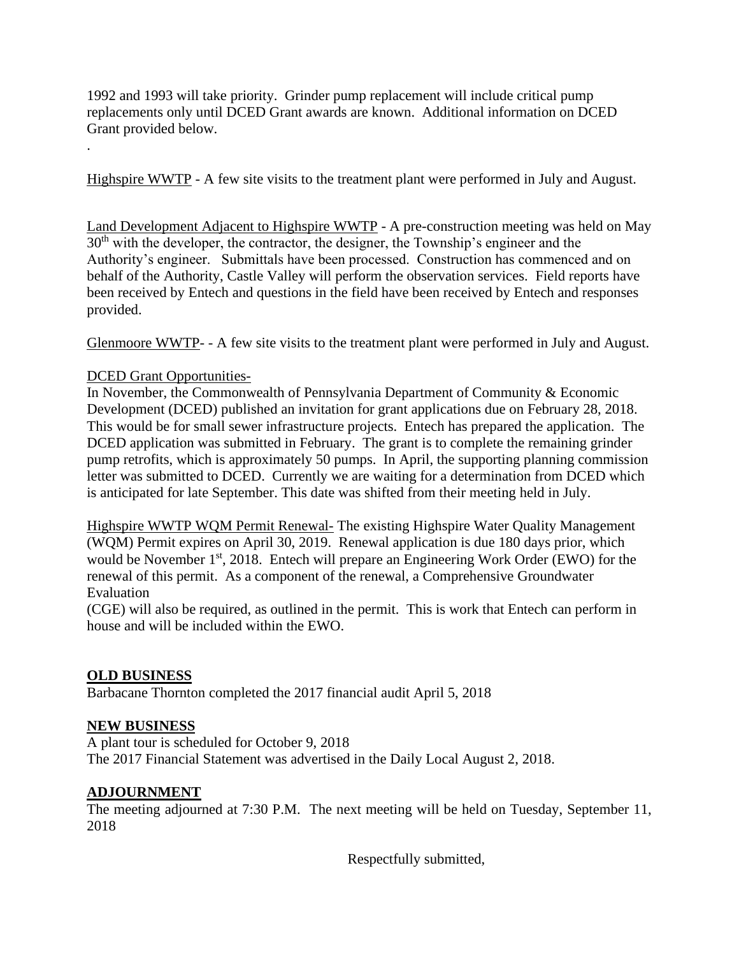1992 and 1993 will take priority. Grinder pump replacement will include critical pump replacements only until DCED Grant awards are known. Additional information on DCED Grant provided below.

Highspire WWTP - A few site visits to the treatment plant were performed in July and August.

Land Development Adjacent to Highspire WWTP - A pre-construction meeting was held on May 30<sup>th</sup> with the developer, the contractor, the designer, the Township's engineer and the Authority's engineer. Submittals have been processed. Construction has commenced and on behalf of the Authority, Castle Valley will perform the observation services. Field reports have been received by Entech and questions in the field have been received by Entech and responses provided.

Glenmoore WWTP- - A few site visits to the treatment plant were performed in July and August.

## DCED Grant Opportunities-

.

In November, the Commonwealth of Pennsylvania Department of Community & Economic Development (DCED) published an invitation for grant applications due on February 28, 2018. This would be for small sewer infrastructure projects. Entech has prepared the application. The DCED application was submitted in February. The grant is to complete the remaining grinder pump retrofits, which is approximately 50 pumps. In April, the supporting planning commission letter was submitted to DCED. Currently we are waiting for a determination from DCED which is anticipated for late September. This date was shifted from their meeting held in July.

Highspire WWTP WQM Permit Renewal- The existing Highspire Water Quality Management (WQM) Permit expires on April 30, 2019. Renewal application is due 180 days prior, which would be November 1<sup>st</sup>, 2018. Entech will prepare an Engineering Work Order (EWO) for the renewal of this permit. As a component of the renewal, a Comprehensive Groundwater Evaluation

(CGE) will also be required, as outlined in the permit. This is work that Entech can perform in house and will be included within the EWO.

## **OLD BUSINESS**

Barbacane Thornton completed the 2017 financial audit April 5, 2018

## **NEW BUSINESS**

A plant tour is scheduled for October 9, 2018 The 2017 Financial Statement was advertised in the Daily Local August 2, 2018.

## **ADJOURNMENT**

The meeting adjourned at 7:30 P.M. The next meeting will be held on Tuesday, September 11, 2018

Respectfully submitted,